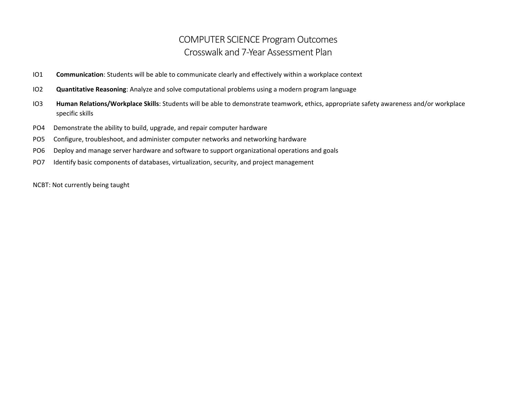## COMPUTER SCIENCE Program Outcomes Crosswalk and 7-Year Assessment Plan

- IO1 **Communication**: Students will be able to communicate clearly and effectively within a workplace context
- IO2 **Quantitative Reasoning**: Analyze and solve computational problems using a modern program language
- IO3 **Human Relations/Workplace Skills**: Students will be able to demonstrate teamwork, ethics, appropriate safety awareness and/or workplace specific skills
- PO4 Demonstrate the ability to build, upgrade, and repair computer hardware
- PO5 Configure, troubleshoot, and administer computer networks and networking hardware
- PO6 Deploy and manage server hardware and software to support organizational operations and goals
- PO7 Identify basic components of databases, virtualization, security, and project management

NCBT: Not currently being taught